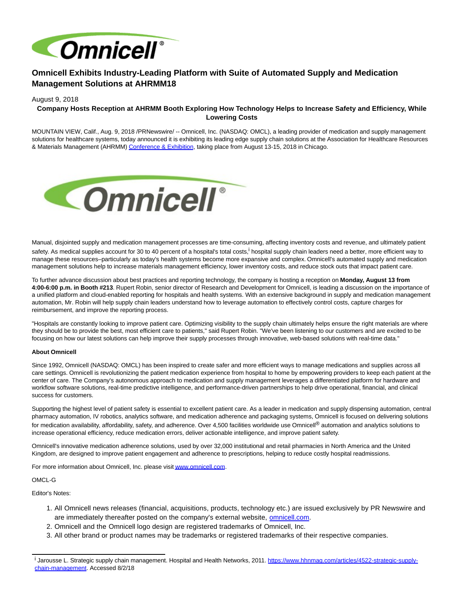

# **Omnicell Exhibits Industry-Leading Platform with Suite of Automated Supply and Medication Management Solutions at AHRMM18**

### August 9, 2018

# **Company Hosts Reception at AHRMM Booth Exploring How Technology Helps to Increase Safety and Efficiency, While Lowering Costs**

MOUNTAIN VIEW, Calif., Aug. 9, 2018 /PRNewswire/ -- Omnicell, Inc. (NASDAQ: OMCL), a leading provider of medication and supply management solutions for healthcare systems, today announced it is exhibiting its leading edge supply chain solutions at the Association for Healthcare Resources & Materials Management (AHRMM[\) Conference & Exhibition,](http://www.ahrmm.org/education/annual-conference/index.shtml) taking place from August 13-15, 2018 in Chicago.



Manual, disjointed supply and medication management processes are time-consuming, affecting inventory costs and revenue, and ultimately patient safety. As medical supplies account for 30 to 40 percent of a hospital's total costs,<sup>i</sup> hospital supply chain leaders need a better, more efficient way to manage these resources–particularly as today's health systems become more expansive and complex. Omnicell's automated supply and medication management solutions help to increase materials management efficiency, lower inventory costs, and reduce stock outs that impact patient care.

To further advance discussion about best practices and reporting technology, the company is hosting a reception on **Monday, August 13 from 4:00-6:00 p.m. in Booth #213**. Rupert Robin, senior director of Research and Development for Omnicell, is leading a discussion on the importance of a unified platform and cloud-enabled reporting for hospitals and health systems. With an extensive background in supply and medication management automation, Mr. Robin will help supply chain leaders understand how to leverage automation to effectively control costs, capture charges for reimbursement, and improve the reporting process.

"Hospitals are constantly looking to improve patient care. Optimizing visibility to the supply chain ultimately helps ensure the right materials are where they should be to provide the best, most efficient care to patients," said Rupert Robin. "We've been listening to our customers and are excited to be focusing on how our latest solutions can help improve their supply processes through innovative, web-based solutions with real-time data."

#### **About Omnicell**

Since 1992, Omnicell (NASDAQ: OMCL) has been inspired to create safer and more efficient ways to manage medications and supplies across all care settings. Omnicell is revolutionizing the patient medication experience from hospital to home by empowering providers to keep each patient at the center of care. The Company's autonomous approach to medication and supply management leverages a differentiated platform for hardware and workflow software solutions, real-time predictive intelligence, and performance-driven partnerships to help drive operational, financial, and clinical success for customers.

Supporting the highest level of patient safety is essential to excellent patient care. As a leader in medication and supply dispensing automation, central pharmacy automation, IV robotics, analytics software, and medication adherence and packaging systems, Omnicell is focused on delivering solutions for medication availability, affordability, safety, and adherence. Over 4,500 facilities worldwide use Omnicell® automation and analytics solutions to increase operational efficiency, reduce medication errors, deliver actionable intelligence, and improve patient safety.

Omnicell's innovative medication adherence solutions, used by over 32,000 institutional and retail pharmacies in North America and the United Kingdom, are designed to improve patient engagement and adherence to prescriptions, helping to reduce costly hospital readmissions.

For more information about Omnicell, Inc. please visi[t www.omnicell.com.](http://www.omnicell.com/)

## OMCL-G

Editor's Notes:

- All Omnicell news releases (financial, acquisitions, products, technology etc.) are issued exclusively by PR Newswire and 1. are immediately thereafter posted on the company's external website, [omnicell.com.](http://www.omnicell.com/)
- 2. Omnicell and the Omnicell logo design are registered trademarks of Omnicell, Inc.
- 3. All other brand or product names may be trademarks or registered trademarks of their respective companies.

i Jarousse L. Strategic supply chain management. Hospital and Health Networks, 2011. [https://www.hhnmag.com/articles/4522-strategic-supply](https://www.hhnmag.com/articles/4522-strategic-supply-chain-management)chain-management. Accessed 8/2/18